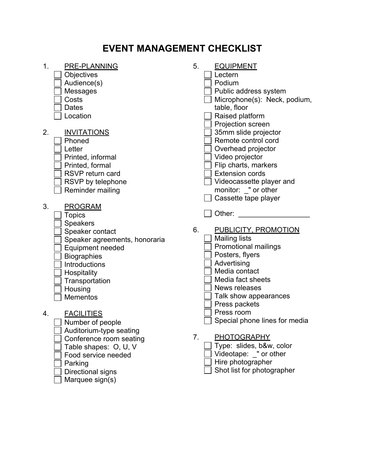## **EVENT MANAGEMENT CHECKLIST**

| 1.<br>PRE-PLANNING<br>Objectives<br>Audience(s)<br>Messages<br>Costs<br><b>Dates</b><br>Location                                                                                                                                                                         | 5.<br><b>EQUIPMENT</b><br>Lectern<br>Podium<br>Public address system<br>Microphone(s): Neck, podium,<br>table, floor<br>Raised platform                                                                                                             |
|--------------------------------------------------------------------------------------------------------------------------------------------------------------------------------------------------------------------------------------------------------------------------|-----------------------------------------------------------------------------------------------------------------------------------------------------------------------------------------------------------------------------------------------------|
| 2.<br><b>INVITATIONS</b><br>Phoned<br>Letter<br>Printed, informal<br>Printed, formal<br><b>RSVP</b> return card<br>RSVP by telephone<br>Reminder mailing                                                                                                                 | Projection screen<br>35mm slide projector<br>Remote control cord<br>Overhead projector<br>Video projector<br>Flip charts, markers<br><b>Extension cords</b><br>Videocassette player and<br>monitor: " or other<br>Cassette tape player              |
| 3.<br><b>PROGRAM</b><br><b>Topics</b><br><b>Speakers</b><br>Speaker contact<br>Speaker agreements, honoraria<br>Equipment needed<br><b>Biographies</b><br><b>Introductions</b><br>Hospitality<br>Transportation<br>Housing<br><b>Mementos</b><br><b>FACILITIES</b><br>4. | Other:<br>6.<br><b>PUBLICITY, PROMOTION</b><br><b>Mailing lists</b><br><b>Promotional mailings</b><br>Posters, flyers<br>Advertising<br>Media contact<br>Media fact sheets<br>News releases<br>Talk show appearances<br>Press packets<br>Press room |
| Number of people<br>Auditorium-type seating<br>Conference room seating<br>Table shapes: O, U, V<br>Food service needed<br>Parking<br>Directional signs<br>Marquee sign(s)                                                                                                | Special phone lines for media<br>7 <sub>1</sub><br>PHOTOGRAPHY<br>Type: slides, b&w, color<br>Videotape: " or other<br>Hire photographer<br>Shot list for photographer                                                                              |